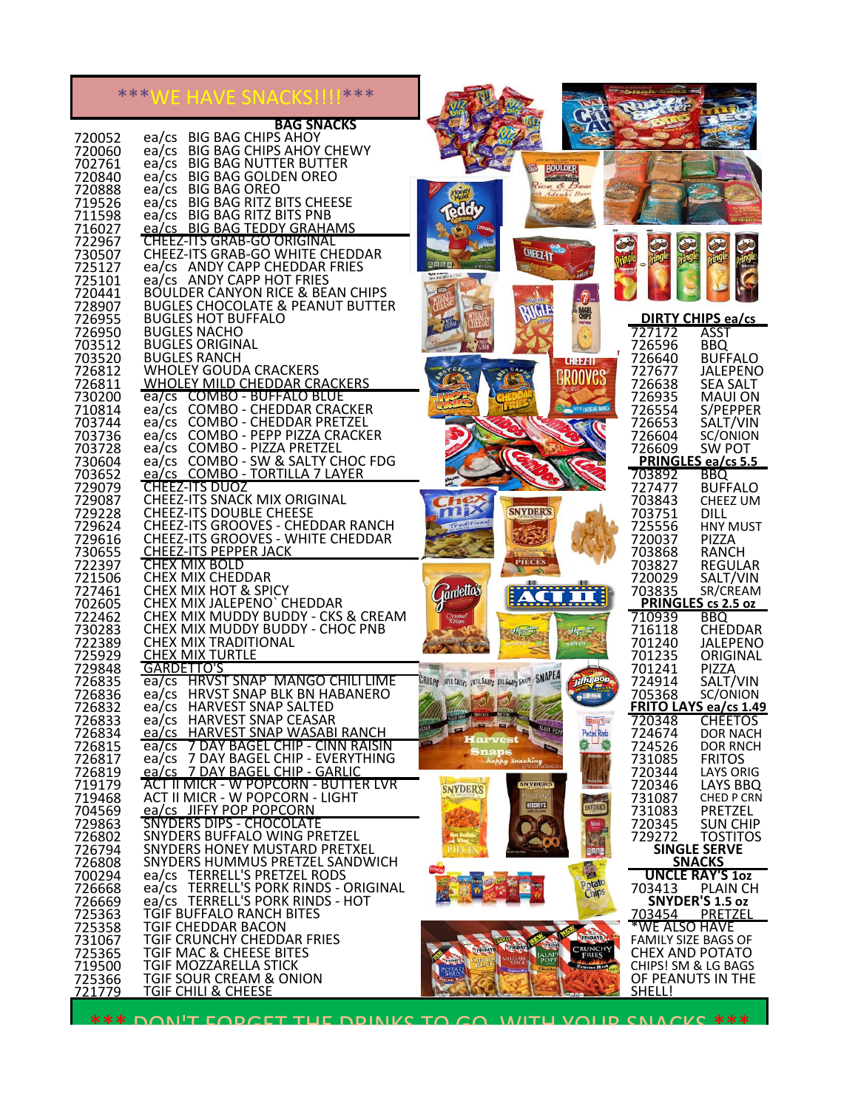|                  |                | VE HAVE SNACKS!                                                     |                                                                        |                                                                                                                                     |                                    |                                   |                                                      |
|------------------|----------------|---------------------------------------------------------------------|------------------------------------------------------------------------|-------------------------------------------------------------------------------------------------------------------------------------|------------------------------------|-----------------------------------|------------------------------------------------------|
|                  |                |                                                                     | <b>BAG SNACKS</b>                                                      |                                                                                                                                     |                                    |                                   |                                                      |
| 720052<br>720060 | ea/cs<br>ea/cs | <b>BIG BAG CHIPS AHOY</b><br><b>BIG BAG CHIPS AHOY CHEWY</b>        |                                                                        |                                                                                                                                     |                                    |                                   |                                                      |
| 702761           | ea/cs          | <b>BIG BAG NUTTER BUTTER</b>                                        |                                                                        |                                                                                                                                     | <b>BOULDER</b>                     |                                   |                                                      |
| 720840<br>720888 | ea/cs<br>ea/cs | <b>BIG BAG GOLDEN OREO</b><br><b>BIG BAG OREO</b>                   |                                                                        |                                                                                                                                     | ann an tìre<br>Rice & Be           |                                   |                                                      |
| 719526<br>711598 | ea/cs          | <b>BIG BAG RITZ BITS CHEESE</b><br>ea/cs BIG BAG RITZ BITS PNB      |                                                                        |                                                                                                                                     |                                    |                                   |                                                      |
| 716027           |                | ea/cs BIG BAG TEDDY GRAHAMS                                         |                                                                        |                                                                                                                                     |                                    |                                   |                                                      |
| 722967<br>730507 |                | <b>CHEEZ-ITS GRAB-GO ORIGINAL</b>                                   | CHEEZ-ITS GRAB-GO WHITE CHEDDAR                                        |                                                                                                                                     | <b>CHEEZ-IT</b>                    | 安地                                |                                                      |
| 725127<br>725101 |                | ea/cs ANDY CAPP CHEDDAR FRIES<br>ea/cs ANDY CAPP HOT FRIES          |                                                                        |                                                                                                                                     |                                    |                                   |                                                      |
| 720441           |                |                                                                     | <b>BOULDER CANYON RICE &amp; BEAN CHIPS</b>                            |                                                                                                                                     |                                    |                                   |                                                      |
| 728907<br>726955 |                | <b>BUGLES HOT BUFFALO</b>                                           | <b>BUGLES CHOCOLATE &amp; PEANUT BUTTER</b>                            |                                                                                                                                     | <b>BAGEL</b><br>CHIPS              |                                   | <b>DIRTY CHIPS ea/cs</b>                             |
| 726950<br>703512 |                | <b>BUGLES NACHO</b><br><b>BUGLES ORIGINAL</b>                       |                                                                        |                                                                                                                                     |                                    | 727172<br>726596                  | ASST<br><b>BBQ</b>                                   |
| 703520           |                | <b>BUGLES RANCH</b>                                                 |                                                                        |                                                                                                                                     | <b>CHEEZ-IT</b>                    | 726640                            | <b>BUFFALO</b>                                       |
| 726812<br>726811 |                | <b>WHOLEY GOUDA CRACKERS</b><br><b>WHOLEY MILD CHEDDAR CRACKERS</b> |                                                                        |                                                                                                                                     |                                    | 727677<br>726638                  | <b>JALEPENO</b><br><b>SEA SALT</b>                   |
| 730200<br>710814 |                | ea/cs COMBO - BUFFALO BLUE<br>ea/cs COMBO - CHEDDAR CRACKER         |                                                                        |                                                                                                                                     | <sup>AU</sup> CHEDDAR RANCH        | 726935<br>726554                  | <b>MAUI ON</b><br>S/PEPPER                           |
| 703744           |                | ea/cs COMBO - CHEDDAR PRETZEL                                       |                                                                        |                                                                                                                                     |                                    | 726653                            | SALT/VIN                                             |
| 703736<br>703728 |                | ea/cs COMBO - PIZZA PRETZEL                                         | ea/cs COMBO - PEPP PIZZA CRACKER                                       |                                                                                                                                     |                                    | 726604<br>726609                  | SC/ONION<br><b>SW POT</b>                            |
| 730604<br>703652 |                | ea/cs COMBO - TORTILLA 7 LAYER                                      | ea/cs COMBO - SW & SALTY CHOC FDG                                      |                                                                                                                                     |                                    | 703892                            | PRINGLES ea/cs 5.5<br><b>BBQ</b>                     |
| 729079           |                | <b>CHEEZ-ITS DUOZ</b>                                               |                                                                        |                                                                                                                                     |                                    | 727477                            | <b>BUFFALO</b>                                       |
| 729087<br>729228 |                | CHEEZ-ITS SNACK MIX ORIGINAL<br><b>CHEEZ-ITS DOUBLE CHEESE</b>      |                                                                        |                                                                                                                                     | <b>SNYDER'S</b>                    | 703843<br>703751                  | CHEEZ UM<br><b>DILL</b>                              |
| 729624<br>729616 |                |                                                                     | CHEEZ-ITS GROOVES - CHEDDAR RANCH<br>CHEEZ-ITS GROOVES - WHITE CHEDDAR |                                                                                                                                     |                                    | 725556<br>720037                  | <b>HNY MUST</b><br>PIZZA                             |
| 730655           |                | <b>CHEEZ-ITS PEPPER JACK</b>                                        |                                                                        |                                                                                                                                     | <b>PIECES</b>                      | 703868                            | <b>RANCH</b>                                         |
| 722397<br>721506 |                | <b>CHEX MIX BOLD</b><br><b>CHEX MIX CHEDDAR</b>                     |                                                                        |                                                                                                                                     |                                    | 703827<br>720029                  | <b>REGULAR</b><br>SALT/VIN                           |
| 727461<br>702605 |                | <b>CHEX MIX HOT &amp; SPICY</b><br>CHEX MIX JALEPENO' CHEDDAR       |                                                                        | <b>Rardetto's</b>                                                                                                                   |                                    | 703835                            | SR/CREAM<br>PRINGLES cs 2.5 oz                       |
| 722462           |                |                                                                     | CHEX MIX MUDDY BUDDY - CKS & CREAM                                     |                                                                                                                                     |                                    | 710939                            | <b>BBQ</b>                                           |
| 730283<br>722389 |                | <b>CHEX MIX TRADITIONAL</b>                                         | CHEX MIX MUDDY BUDDY - CHOC PNB                                        |                                                                                                                                     |                                    | 716118<br>701240                  | <b>CHEDDAR</b><br><b>JALEPENO</b>                    |
| 725929<br>729848 |                | <b>CHEX MIX TURTLE</b><br>GARDETTO'S                                |                                                                        |                                                                                                                                     |                                    | 701235<br>701241                  | ORIGINAL<br>PIZZA                                    |
| 726835           |                |                                                                     | ea/cs HRVST SNAP MANGO CHILI LIME                                      | URISPS AREA GRISPS ENTIL SNAPS ITIL SNAPS SNAPE SNAPEA                                                                              |                                    | 724914                            | SALT/VIN                                             |
| 726836<br>726832 |                | ea/cs HARVEST SNAP SALTED                                           | ea/cs HRVST SNAP BLK BN HABANERO                                       | <b>District Construction of the Line</b>                                                                                            |                                    | 705368                            | SC/ONION<br>FRITO LAYS ea/cs 1.49                    |
| 726833<br>726834 |                | ea/cs HARVEST SNAP CEASAR                                           | ea/cs HARVEST SNAP WASABI RANCH                                        | <b><i><u>STERN STERN STERN STERN STERN STERN STERN STERN STERN STERN STERN STERN STERN STERN STERN STERN STERN STERN ST</u></i></b> | <b>HACK PEP</b><br>Pretzel Rods    | 720348<br>TERRELL'S (SS<br>724674 | <b>CHEETOS</b><br>DOR NACH                           |
| 726815<br>726817 | ea/cs          |                                                                     | 7 DAY BAGEL CHIP - CINN RAISIN<br>ea/cs 7 DAY BAGEL CHIP - EVERYTHING  | Harvest<br><b>Snaps</b>                                                                                                             |                                    | 724526                            | <b>DOR RNCH</b>                                      |
| 726819           |                | ea/cs 7 DAY BAGEL CHIP - GARLIC                                     |                                                                        |                                                                                                                                     | happy snaching                     | 731085<br>720344                  | <b>FRITOS</b><br><b>LAYS ORIG</b>                    |
| 719179<br>719468 |                | ACT II MICR - W POPCORN - LIGHT                                     | <b>ACT II MICR - W POPCORN - BUTTER LVR</b>                            | <b>SNYDER'S</b>                                                                                                                     | <b>SNYDERS</b>                     | 720346<br>731087                  | LAYS BBQ<br>CHED P CRN                               |
| 704569<br>729863 |                | ea/cs JIFFY POP POPCORN<br>SNYDERS DIPS - CHOCOLATE                 |                                                                        |                                                                                                                                     | <b>HERSHEYS</b><br>SNYDER'S        | 731083<br>720345                  | <b>PRETZEL</b><br><b>SUN CHIP</b>                    |
| 726802           |                | SNYDERS BUFFALO WING PRETZEL                                        |                                                                        |                                                                                                                                     |                                    | 729272                            | <b>TOSTITOS</b>                                      |
| 726794<br>726808 |                | SNYDERS HONEY MUSTARD PRETXEL                                       | SNYDERS HUMMUS PRETZEL SANDWICH                                        |                                                                                                                                     |                                    |                                   | <b>SINGLE SERVE</b><br><b>SNACKS</b>                 |
| 700294<br>726668 |                | ea/cs TERRELL'S PRETZEL RODS                                        | ea/cs TERRELL'S PORK RINDS - ORIGINAL                                  |                                                                                                                                     | Potato                             | 703413                            | <b>UNCLE RAY'S 102</b><br><b>PLAIN CH</b>            |
| 726669           |                | ea/cs TERRELL'S PORK RINDS - HOT                                    |                                                                        |                                                                                                                                     |                                    |                                   | SNYDER'S 1.5 oz                                      |
| 725363<br>725358 |                | TGIF BUFFALO RANCH BITES<br>TGIF CHEDDAR BACON                      |                                                                        |                                                                                                                                     |                                    | 703454                            | PRETZEL<br>*WE ALSO HAVE                             |
| 731067<br>725365 |                | TGIF CRUNCHY CHEDDAR FRIES<br>TGIF MAC & CHEESE BITES               |                                                                        |                                                                                                                                     | FRIDAYS<br><b>CRUNCHY</b><br>FRIES |                                   | <b>FAMILY SIZE BAGS OF</b><br><b>CHEX AND POTATO</b> |
| 719500           |                | TGIF MOZZARELLA STICK                                               |                                                                        |                                                                                                                                     | <b>Extreme Heat</b>                |                                   | CHIPS! SM & LG BAGS                                  |
| 725366<br>721779 |                | TGIF SOUR CREAM & ONION<br><u>TGIF CHILI &amp; CHEESE</u>           |                                                                        |                                                                                                                                     |                                    | <u>SHELL!</u>                     | OF PEANUTS IN THE                                    |
|                  |                |                                                                     | <b>*** DON'T EODCET THE DRINKS TO CO. WITH VOLID SNACKS ***</b>        |                                                                                                                                     |                                    |                                   |                                                      |